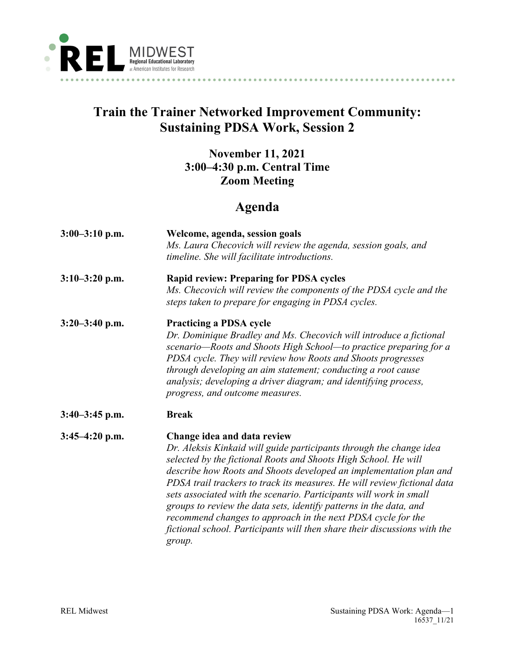

## **Train the Trainer Networked Improvement Community: Sustaining PDSA Work, Session 2**

## **November 11, 2021 3:00–4:30 p.m. Central Time Zoom Meeting**

## **Agenda**

| $3:00-3:10$ p.m. | Welcome, agenda, session goals<br>Ms. Laura Checovich will review the agenda, session goals, and<br>timeline. She will facilitate introductions.                                                                                                                                                                                                                                                                                                                                                                                                                                                                           |
|------------------|----------------------------------------------------------------------------------------------------------------------------------------------------------------------------------------------------------------------------------------------------------------------------------------------------------------------------------------------------------------------------------------------------------------------------------------------------------------------------------------------------------------------------------------------------------------------------------------------------------------------------|
| $3:10-3:20$ p.m. | <b>Rapid review: Preparing for PDSA cycles</b><br>Ms. Checovich will review the components of the PDSA cycle and the<br>steps taken to prepare for engaging in PDSA cycles.                                                                                                                                                                                                                                                                                                                                                                                                                                                |
| $3:20-3:40$ p.m. | <b>Practicing a PDSA cycle</b><br>Dr. Dominique Bradley and Ms. Checovich will introduce a fictional<br>scenario-Roots and Shoots High School-to practice preparing for a<br>PDSA cycle. They will review how Roots and Shoots progresses<br>through developing an aim statement; conducting a root cause<br>analysis; developing a driver diagram; and identifying process,<br>progress, and outcome measures.                                                                                                                                                                                                            |
| $3:40-3:45$ p.m. | <b>Break</b>                                                                                                                                                                                                                                                                                                                                                                                                                                                                                                                                                                                                               |
| $3:45-4:20$ p.m. | Change idea and data review<br>Dr. Aleksis Kinkaid will guide participants through the change idea<br>selected by the fictional Roots and Shoots High School. He will<br>describe how Roots and Shoots developed an implementation plan and<br>PDSA trail trackers to track its measures. He will review fictional data<br>sets associated with the scenario. Participants will work in small<br>groups to review the data sets, identify patterns in the data, and<br>recommend changes to approach in the next PDSA cycle for the<br>fictional school. Participants will then share their discussions with the<br>group. |